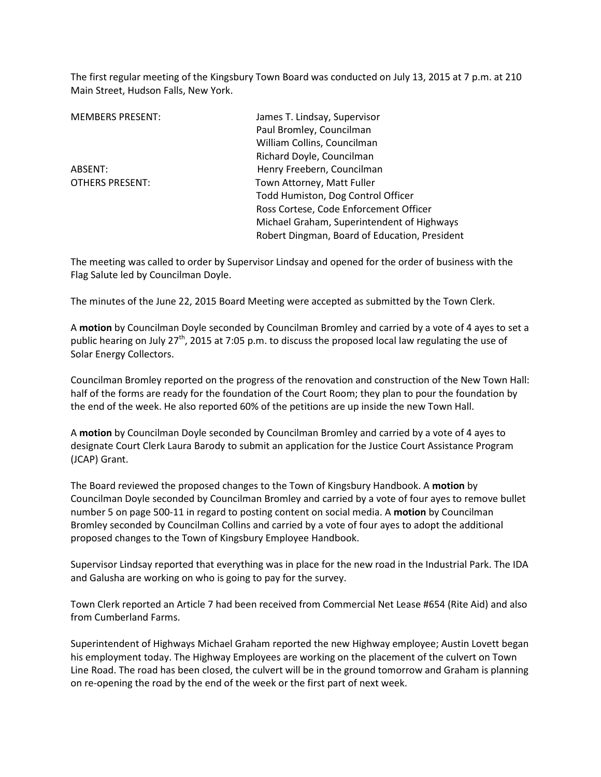The first regular meeting of the Kingsbury Town Board was conducted on July 13, 2015 at 7 p.m. at 210 Main Street, Hudson Falls, New York.

| James T. Lindsay, Supervisor                  |  |
|-----------------------------------------------|--|
| Paul Bromley, Councilman                      |  |
| William Collins, Councilman                   |  |
| Richard Doyle, Councilman                     |  |
| Henry Freebern, Councilman                    |  |
| Town Attorney, Matt Fuller                    |  |
| Todd Humiston, Dog Control Officer            |  |
| Ross Cortese, Code Enforcement Officer        |  |
| Michael Graham, Superintendent of Highways    |  |
| Robert Dingman, Board of Education, President |  |
|                                               |  |

The meeting was called to order by Supervisor Lindsay and opened for the order of business with the Flag Salute led by Councilman Doyle.

The minutes of the June 22, 2015 Board Meeting were accepted as submitted by the Town Clerk.

A **motion** by Councilman Doyle seconded by Councilman Bromley and carried by a vote of 4 ayes to set a public hearing on July 27<sup>th</sup>, 2015 at 7:05 p.m. to discuss the proposed local law regulating the use of Solar Energy Collectors.

Councilman Bromley reported on the progress of the renovation and construction of the New Town Hall: half of the forms are ready for the foundation of the Court Room; they plan to pour the foundation by the end of the week. He also reported 60% of the petitions are up inside the new Town Hall.

A **motion** by Councilman Doyle seconded by Councilman Bromley and carried by a vote of 4 ayes to designate Court Clerk Laura Barody to submit an application for the Justice Court Assistance Program (JCAP) Grant.

The Board reviewed the proposed changes to the Town of Kingsbury Handbook. A **motion** by Councilman Doyle seconded by Councilman Bromley and carried by a vote of four ayes to remove bullet number 5 on page 500-11 in regard to posting content on social media. A **motion** by Councilman Bromley seconded by Councilman Collins and carried by a vote of four ayes to adopt the additional proposed changes to the Town of Kingsbury Employee Handbook.

Supervisor Lindsay reported that everything was in place for the new road in the Industrial Park. The IDA and Galusha are working on who is going to pay for the survey.

Town Clerk reported an Article 7 had been received from Commercial Net Lease #654 (Rite Aid) and also from Cumberland Farms.

Superintendent of Highways Michael Graham reported the new Highway employee; Austin Lovett began his employment today. The Highway Employees are working on the placement of the culvert on Town Line Road. The road has been closed, the culvert will be in the ground tomorrow and Graham is planning on re-opening the road by the end of the week or the first part of next week.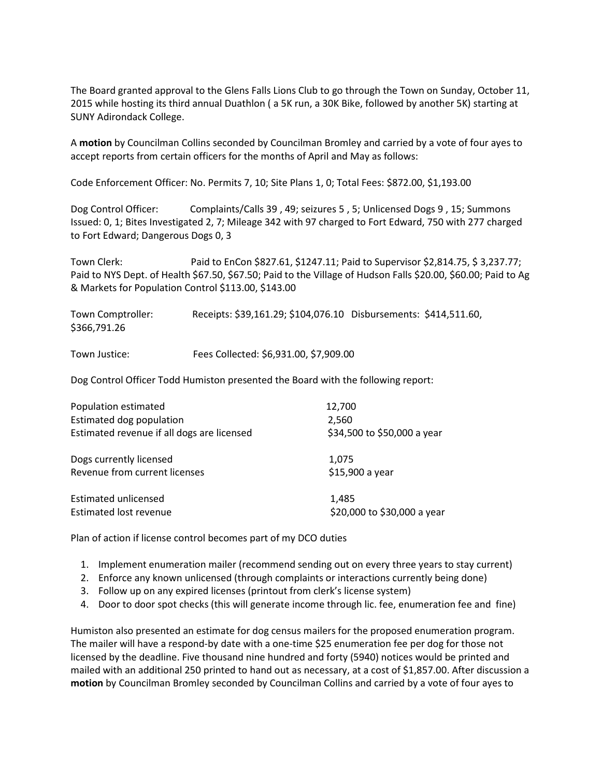The Board granted approval to the Glens Falls Lions Club to go through the Town on Sunday, October 11, 2015 while hosting its third annual Duathlon ( a 5K run, a 30K Bike, followed by another 5K) starting at SUNY Adirondack College.

A **motion** by Councilman Collins seconded by Councilman Bromley and carried by a vote of four ayes to accept reports from certain officers for the months of April and May as follows:

Code Enforcement Officer: No. Permits 7, 10; Site Plans 1, 0; Total Fees: \$872.00, \$1,193.00

Dog Control Officer: Complaints/Calls 39 , 49; seizures 5 , 5; Unlicensed Dogs 9 , 15; Summons Issued: 0, 1; Bites Investigated 2, 7; Mileage 342 with 97 charged to Fort Edward, 750 with 277 charged to Fort Edward; Dangerous Dogs 0, 3

Town Clerk: Paid to EnCon \$827.61, \$1247.11; Paid to Supervisor \$2,814.75, \$ 3,237.77; Paid to NYS Dept. of Health \$67.50, \$67.50; Paid to the Village of Hudson Falls \$20.00, \$60.00; Paid to Ag & Markets for Population Control \$113.00, \$143.00

| Town Comptroller: | Receipts: \$39,161.29; \$104,076.10 Disbursements: \$414,511.60, |  |
|-------------------|------------------------------------------------------------------|--|
| \$366,791.26      |                                                                  |  |
|                   |                                                                  |  |

Town Justice: Fees Collected: \$6,931.00, \$7,909.00

Dog Control Officer Todd Humiston presented the Board with the following report:

| Population estimated                       | 12,700                      |
|--------------------------------------------|-----------------------------|
| Estimated dog population                   | 2,560                       |
| Estimated revenue if all dogs are licensed | \$34,500 to \$50,000 a year |
| Dogs currently licensed                    | 1.075                       |
| Revenue from current licenses              | \$15,900 a year             |
| Estimated unlicensed                       | 1,485                       |
| Estimated lost revenue                     | \$20,000 to \$30,000 a year |

Plan of action if license control becomes part of my DCO duties

- 1. Implement enumeration mailer (recommend sending out on every three years to stay current)
- 2. Enforce any known unlicensed (through complaints or interactions currently being done)
- 3. Follow up on any expired licenses (printout from clerk's license system)
- 4. Door to door spot checks (this will generate income through lic. fee, enumeration fee and fine)

Humiston also presented an estimate for dog census mailers for the proposed enumeration program. The mailer will have a respond-by date with a one-time \$25 enumeration fee per dog for those not licensed by the deadline. Five thousand nine hundred and forty (5940) notices would be printed and mailed with an additional 250 printed to hand out as necessary, at a cost of \$1,857.00. After discussion a **motion** by Councilman Bromley seconded by Councilman Collins and carried by a vote of four ayes to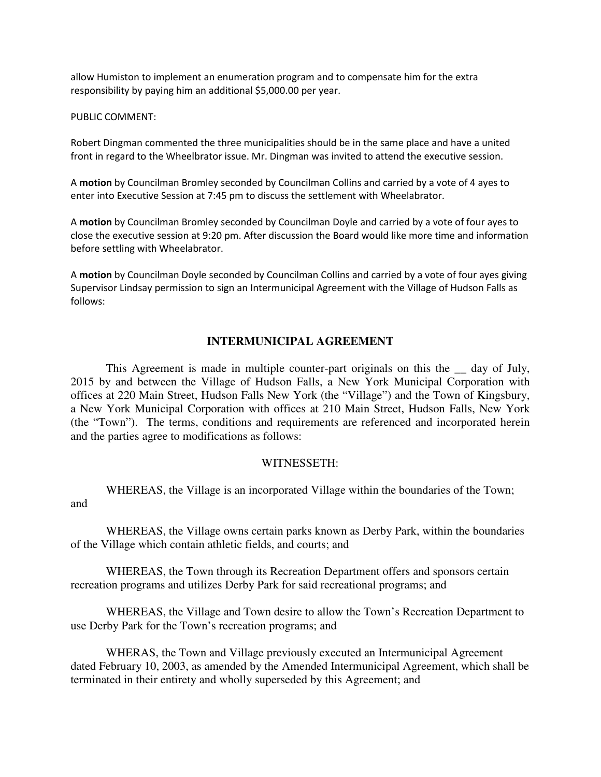allow Humiston to implement an enumeration program and to compensate him for the extra responsibility by paying him an additional \$5,000.00 per year.

#### PUBLIC COMMENT:

Robert Dingman commented the three municipalities should be in the same place and have a united front in regard to the Wheelbrator issue. Mr. Dingman was invited to attend the executive session.

A **motion** by Councilman Bromley seconded by Councilman Collins and carried by a vote of 4 ayes to enter into Executive Session at 7:45 pm to discuss the settlement with Wheelabrator.

A **motion** by Councilman Bromley seconded by Councilman Doyle and carried by a vote of four ayes to close the executive session at 9:20 pm. After discussion the Board would like more time and information before settling with Wheelabrator.

A **motion** by Councilman Doyle seconded by Councilman Collins and carried by a vote of four ayes giving Supervisor Lindsay permission to sign an Intermunicipal Agreement with the Village of Hudson Falls as follows:

# **INTERMUNICIPAL AGREEMENT**

This Agreement is made in multiple counter-part originals on this the \_\_ day of July, 2015 by and between the Village of Hudson Falls, a New York Municipal Corporation with offices at 220 Main Street, Hudson Falls New York (the "Village") and the Town of Kingsbury, a New York Municipal Corporation with offices at 210 Main Street, Hudson Falls, New York (the "Town"). The terms, conditions and requirements are referenced and incorporated herein and the parties agree to modifications as follows:

### WITNESSETH:

 WHEREAS, the Village is an incorporated Village within the boundaries of the Town; and

 WHEREAS, the Village owns certain parks known as Derby Park, within the boundaries of the Village which contain athletic fields, and courts; and

 WHEREAS, the Town through its Recreation Department offers and sponsors certain recreation programs and utilizes Derby Park for said recreational programs; and

 WHEREAS, the Village and Town desire to allow the Town's Recreation Department to use Derby Park for the Town's recreation programs; and

 WHERAS, the Town and Village previously executed an Intermunicipal Agreement dated February 10, 2003, as amended by the Amended Intermunicipal Agreement, which shall be terminated in their entirety and wholly superseded by this Agreement; and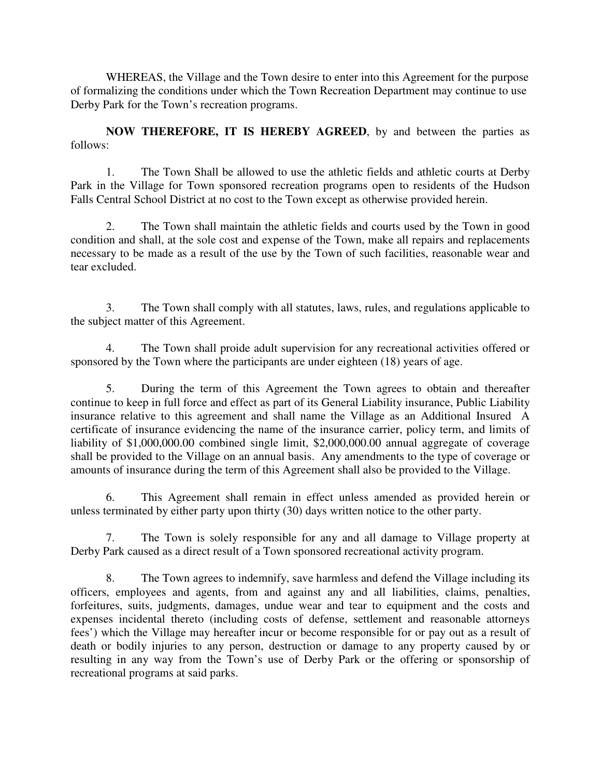WHEREAS, the Village and the Town desire to enter into this Agreement for the purpose of formalizing the conditions under which the Town Recreation Department may continue to use Derby Park for the Town's recreation programs.

**NOW THEREFORE, IT IS HEREBY AGREED**, by and between the parties as follows:

1. The Town Shall be allowed to use the athletic fields and athletic courts at Derby Park in the Village for Town sponsored recreation programs open to residents of the Hudson Falls Central School District at no cost to the Town except as otherwise provided herein.

2. The Town shall maintain the athletic fields and courts used by the Town in good condition and shall, at the sole cost and expense of the Town, make all repairs and replacements necessary to be made as a result of the use by the Town of such facilities, reasonable wear and tear excluded.

3. The Town shall comply with all statutes, laws, rules, and regulations applicable to the subject matter of this Agreement.

4. The Town shall proide adult supervision for any recreational activities offered or sponsored by the Town where the participants are under eighteen (18) years of age.

5. During the term of this Agreement the Town agrees to obtain and thereafter continue to keep in full force and effect as part of its General Liability insurance, Public Liability insurance relative to this agreement and shall name the Village as an Additional Insured A certificate of insurance evidencing the name of the insurance carrier, policy term, and limits of liability of \$1,000,000.00 combined single limit, \$2,000,000.00 annual aggregate of coverage shall be provided to the Village on an annual basis. Any amendments to the type of coverage or amounts of insurance during the term of this Agreement shall also be provided to the Village.

6. This Agreement shall remain in effect unless amended as provided herein or unless terminated by either party upon thirty (30) days written notice to the other party.

7. The Town is solely responsible for any and all damage to Village property at Derby Park caused as a direct result of a Town sponsored recreational activity program.

8. The Town agrees to indemnify, save harmless and defend the Village including its officers, employees and agents, from and against any and all liabilities, claims, penalties, forfeitures, suits, judgments, damages, undue wear and tear to equipment and the costs and expenses incidental thereto (including costs of defense, settlement and reasonable attorneys fees') which the Village may hereafter incur or become responsible for or pay out as a result of death or bodily injuries to any person, destruction or damage to any property caused by or resulting in any way from the Town's use of Derby Park or the offering or sponsorship of recreational programs at said parks.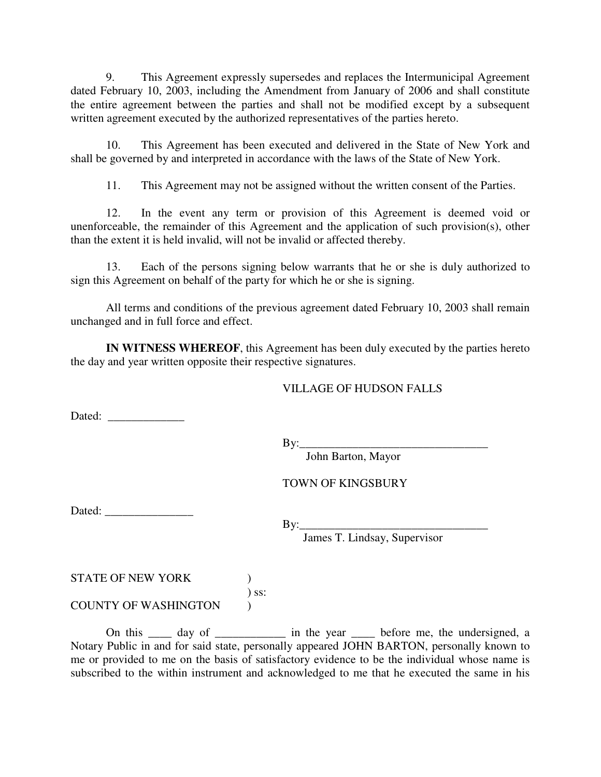9. This Agreement expressly supersedes and replaces the Intermunicipal Agreement dated February 10, 2003, including the Amendment from January of 2006 and shall constitute the entire agreement between the parties and shall not be modified except by a subsequent written agreement executed by the authorized representatives of the parties hereto.

10. This Agreement has been executed and delivered in the State of New York and shall be governed by and interpreted in accordance with the laws of the State of New York.

11. This Agreement may not be assigned without the written consent of the Parties.

12. In the event any term or provision of this Agreement is deemed void or unenforceable, the remainder of this Agreement and the application of such provision(s), other than the extent it is held invalid, will not be invalid or affected thereby.

13. Each of the persons signing below warrants that he or she is duly authorized to sign this Agreement on behalf of the party for which he or she is signing.

All terms and conditions of the previous agreement dated February 10, 2003 shall remain unchanged and in full force and effect.

**IN WITNESS WHEREOF**, this Agreement has been duly executed by the parties hereto the day and year written opposite their respective signatures.

# VILLAGE OF HUDSON FALLS

Dated:

By:\_\_\_\_\_\_\_\_\_\_\_\_\_\_\_\_\_\_\_\_\_\_\_\_\_\_\_\_\_\_\_\_

John Barton, Mayor

TOWN OF KINGSBURY

Dated:

By:\_\_\_\_\_\_\_\_\_\_\_\_\_\_\_\_\_\_\_\_\_\_\_\_\_\_\_\_\_\_\_\_

James T. Lindsay, Supervisor

STATE OF NEW YORK  $\qquad \qquad$  ) ) ss: COUNTY OF WASHINGTON )

On this \_\_\_\_ day of \_\_\_\_\_\_\_\_\_\_\_ in the year \_\_\_\_ before me, the undersigned, a Notary Public in and for said state, personally appeared JOHN BARTON, personally known to me or provided to me on the basis of satisfactory evidence to be the individual whose name is subscribed to the within instrument and acknowledged to me that he executed the same in his